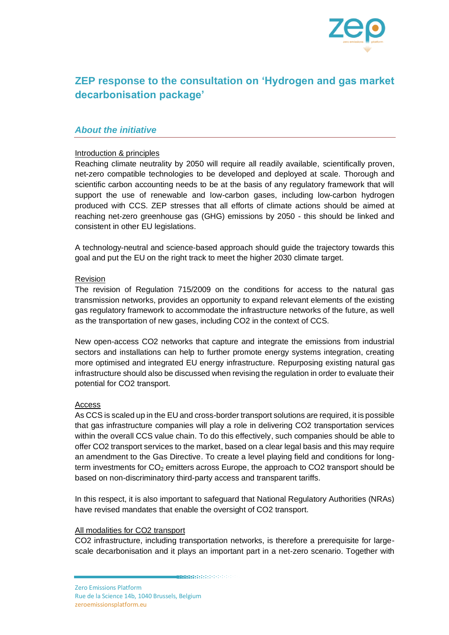

# **ZEP response to the consultation on 'Hydrogen and gas market decarbonisation package'**

## *About the initiative*

#### Introduction & principles

Reaching climate neutrality by 2050 will require all readily available, scientifically proven, net-zero compatible technologies to be developed and deployed at scale. Thorough and scientific carbon accounting needs to be at the basis of any regulatory framework that will support the use of renewable and low-carbon gases, including low-carbon hydrogen produced with CCS. ZEP stresses that all efforts of climate actions should be aimed at reaching net-zero greenhouse gas (GHG) emissions by 2050 - this should be linked and consistent in other EU legislations.

A technology-neutral and science-based approach should guide the trajectory towards this goal and put the EU on the right track to meet the higher 2030 climate target.

#### Revision

The revision of Regulation 715/2009 on the conditions for access to the natural gas transmission networks, provides an opportunity to expand relevant elements of the existing gas regulatory framework to accommodate the infrastructure networks of the future, as well as the transportation of new gases, including CO2 in the context of CCS.

New open-access CO2 networks that capture and integrate the emissions from industrial sectors and installations can help to further promote energy systems integration, creating more optimised and integrated EU energy infrastructure. Repurposing existing natural gas infrastructure should also be discussed when revising the regulation in order to evaluate their potential for CO2 transport.

#### Access

As CCS is scaled up in the EU and cross-border transport solutions are required, it is possible that gas infrastructure companies will play a role in delivering CO2 transportation services within the overall CCS value chain. To do this effectively, such companies should be able to offer CO2 transport services to the market, based on a clear legal basis and this may require an amendment to the Gas Directive. To create a level playing field and conditions for longterm investments for  $CO<sub>2</sub>$  emitters across Europe, the approach to CO2 transport should be based on non-discriminatory third-party access and transparent tariffs.

In this respect, it is also important to safeguard that National Regulatory Authorities (NRAs) have revised mandates that enable the oversight of CO2 transport.

#### All modalities for CO2 transport

CO2 infrastructure, including transportation networks, is therefore a prerequisite for largescale decarbonisation and it plays an important part in a net-zero scenario. Together with

**MARK AND A SHOPLAND CONTRACT A SHOPLAND**